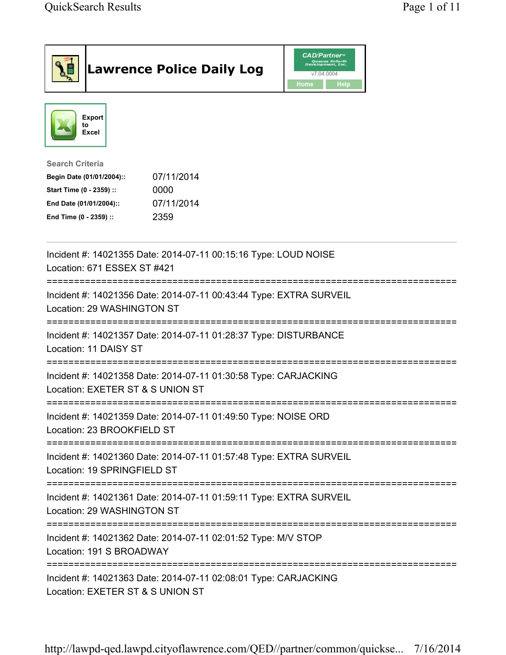|                                                                                                                                      | <b>Lawrence Police Daily Log</b>                                   | <b>CAD/Partner</b><br>Queues Enforth<br>Development, Inc.<br>v7.04.0004<br>Home<br>Help |  |  |
|--------------------------------------------------------------------------------------------------------------------------------------|--------------------------------------------------------------------|-----------------------------------------------------------------------------------------|--|--|
| <b>Export</b><br>to<br><b>Excel</b>                                                                                                  |                                                                    |                                                                                         |  |  |
| <b>Search Criteria</b><br>Begin Date (01/01/2004)::<br>Start Time (0 - 2359) ::<br>End Date (01/01/2004)::<br>End Time (0 - 2359) :: | 07/11/2014<br>0000<br>07/11/2014<br>2359                           |                                                                                         |  |  |
| Location: 671 ESSEX ST #421                                                                                                          | Incident #: 14021355 Date: 2014-07-11 00:15:16 Type: LOUD NOISE    |                                                                                         |  |  |
| Location: 29 WASHINGTON ST                                                                                                           | Incident #: 14021356 Date: 2014-07-11 00:43:44 Type: EXTRA SURVEIL |                                                                                         |  |  |
| Location: 11 DAISY ST                                                                                                                | Incident #: 14021357 Date: 2014-07-11 01:28:37 Type: DISTURBANCE   |                                                                                         |  |  |
| Incident #: 14021358 Date: 2014-07-11 01:30:58 Type: CARJACKING<br>Location: EXETER ST & S UNION ST                                  |                                                                    |                                                                                         |  |  |
| Incident #: 14021359 Date: 2014-07-11 01:49:50 Type: NOISE ORD<br>Location: 23 BROOKFIELD ST                                         |                                                                    |                                                                                         |  |  |
| Incident #: 14021360 Date: 2014-07-11 01:57:48 Type: EXTRA SURVEIL<br>Location: 19 SPRINGFIELD ST                                    |                                                                    |                                                                                         |  |  |
| Incident #: 14021361 Date: 2014-07-11 01:59:11 Type: EXTRA SURVEIL<br>Location: 29 WASHINGTON ST                                     |                                                                    |                                                                                         |  |  |
| Incident #: 14021362 Date: 2014-07-11 02:01:52 Type: M/V STOP<br>Location: 191 S BROADWAY                                            |                                                                    |                                                                                         |  |  |
| Incident #: 14021363 Date: 2014-07-11 02:08:01 Type: CARJACKING<br>Location: EXETER ST & S UNION ST                                  |                                                                    |                                                                                         |  |  |

http://lawpd-qed.lawpd.cityoflawrence.com/QED//partner/common/quickse... 7/16/2014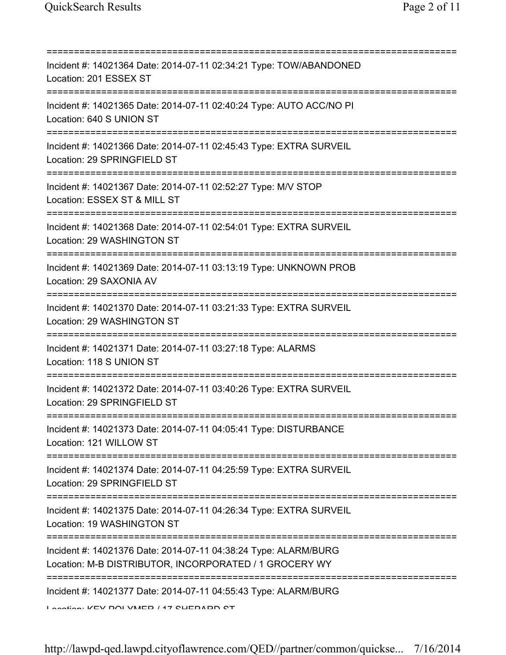| Incident #: 14021364 Date: 2014-07-11 02:34:21 Type: TOW/ABANDONED<br>Location: 201 ESSEX ST                              |
|---------------------------------------------------------------------------------------------------------------------------|
| Incident #: 14021365 Date: 2014-07-11 02:40:24 Type: AUTO ACC/NO PI<br>Location: 640 S UNION ST                           |
| Incident #: 14021366 Date: 2014-07-11 02:45:43 Type: EXTRA SURVEIL<br>Location: 29 SPRINGFIELD ST                         |
| Incident #: 14021367 Date: 2014-07-11 02:52:27 Type: M/V STOP<br>Location: ESSEX ST & MILL ST                             |
| Incident #: 14021368 Date: 2014-07-11 02:54:01 Type: EXTRA SURVEIL<br>Location: 29 WASHINGTON ST                          |
| Incident #: 14021369 Date: 2014-07-11 03:13:19 Type: UNKNOWN PROB<br>Location: 29 SAXONIA AV                              |
| Incident #: 14021370 Date: 2014-07-11 03:21:33 Type: EXTRA SURVEIL<br>Location: 29 WASHINGTON ST                          |
| Incident #: 14021371 Date: 2014-07-11 03:27:18 Type: ALARMS<br>Location: 118 S UNION ST                                   |
| Incident #: 14021372 Date: 2014-07-11 03:40:26 Type: EXTRA SURVEIL<br>Location: 29 SPRINGFIELD ST                         |
| Incident #: 14021373 Date: 2014-07-11 04:05:41 Type: DISTURBANCE<br>Location: 121 WILLOW ST                               |
| Incident #: 14021374 Date: 2014-07-11 04:25:59 Type: EXTRA SURVEIL<br>Location: 29 SPRINGFIELD ST                         |
| Incident #: 14021375 Date: 2014-07-11 04:26:34 Type: EXTRA SURVEIL<br>Location: 19 WASHINGTON ST                          |
| Incident #: 14021376 Date: 2014-07-11 04:38:24 Type: ALARM/BURG<br>Location: M-B DISTRIBUTOR, INCORPORATED / 1 GROCERY WY |
| Incident #: 14021377 Date: 2014-07-11 04:55:43 Type: ALARM/BURG<br>Loopion: VEV DOI VMED / 47 QUEDADD QT                  |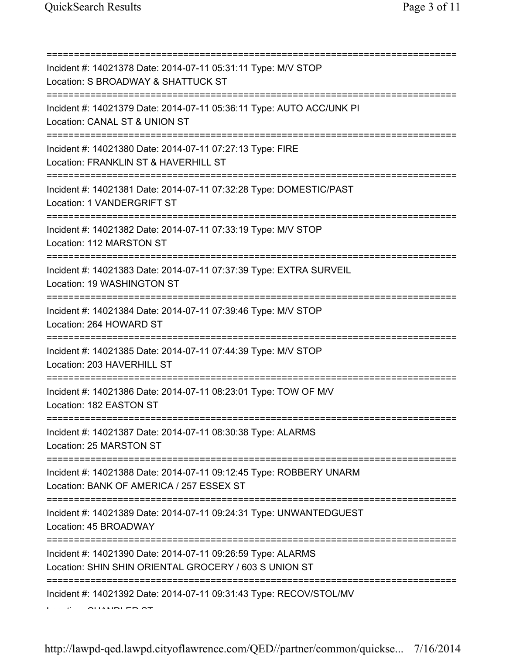| Incident #: 14021378 Date: 2014-07-11 05:31:11 Type: M/V STOP<br>Location: S BROADWAY & SHATTUCK ST<br>===========================                        |
|-----------------------------------------------------------------------------------------------------------------------------------------------------------|
| Incident #: 14021379 Date: 2014-07-11 05:36:11 Type: AUTO ACC/UNK PI<br>Location: CANAL ST & UNION ST                                                     |
| Incident #: 14021380 Date: 2014-07-11 07:27:13 Type: FIRE<br>Location: FRANKLIN ST & HAVERHILL ST                                                         |
| Incident #: 14021381 Date: 2014-07-11 07:32:28 Type: DOMESTIC/PAST<br>Location: 1 VANDERGRIFT ST<br>=====================================                 |
| Incident #: 14021382 Date: 2014-07-11 07:33:19 Type: M/V STOP<br>Location: 112 MARSTON ST                                                                 |
| Incident #: 14021383 Date: 2014-07-11 07:37:39 Type: EXTRA SURVEIL<br>Location: 19 WASHINGTON ST                                                          |
| Incident #: 14021384 Date: 2014-07-11 07:39:46 Type: M/V STOP<br>Location: 264 HOWARD ST                                                                  |
| Incident #: 14021385 Date: 2014-07-11 07:44:39 Type: M/V STOP<br>Location: 203 HAVERHILL ST                                                               |
| Incident #: 14021386 Date: 2014-07-11 08:23:01 Type: TOW OF M/V<br>Location: 182 EASTON ST                                                                |
| Incident #: 14021387 Date: 2014-07-11 08:30:38 Type: ALARMS<br>Location: 25 MARSTON ST                                                                    |
| Incident #: 14021388 Date: 2014-07-11 09:12:45 Type: ROBBERY UNARM<br>Location: BANK OF AMERICA / 257 ESSEX ST                                            |
| Incident #: 14021389 Date: 2014-07-11 09:24:31 Type: UNWANTEDGUEST<br>Location: 45 BROADWAY                                                               |
| =================================<br>Incident #: 14021390 Date: 2014-07-11 09:26:59 Type: ALARMS<br>Location: SHIN SHIN ORIENTAL GROCERY / 603 S UNION ST |
| Incident #: 14021392 Date: 2014-07-11 09:31:43 Type: RECOV/STOL/MV                                                                                        |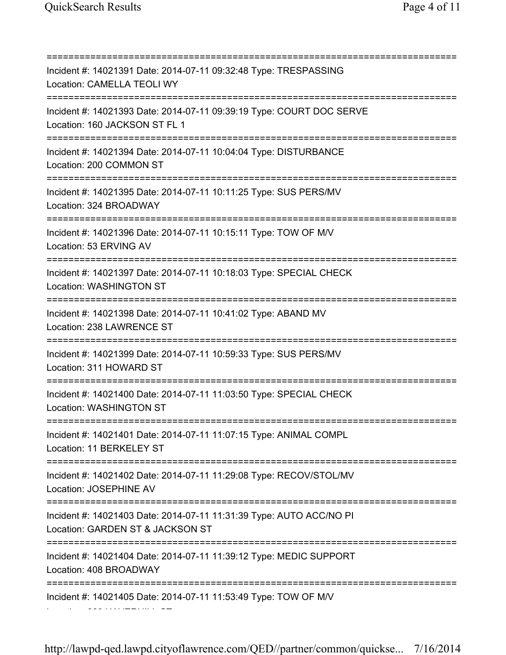=========================================================================== Incident #: 14021391 Date: 2014-07-11 09:32:48 Type: TRESPASSING Location: CAMELLA TEOLI WY =========================================================================== Incident #: 14021393 Date: 2014-07-11 09:39:19 Type: COURT DOC SERVE Location: 160 JACKSON ST FL 1 =========================================================================== Incident #: 14021394 Date: 2014-07-11 10:04:04 Type: DISTURBANCE Location: 200 COMMON ST =========================================================================== Incident #: 14021395 Date: 2014-07-11 10:11:25 Type: SUS PERS/MV Location: 324 BROADWAY =========================================================================== Incident #: 14021396 Date: 2014-07-11 10:15:11 Type: TOW OF M/V Location: 53 ERVING AV =========================================================================== Incident #: 14021397 Date: 2014-07-11 10:18:03 Type: SPECIAL CHECK Location: WASHINGTON ST =========================================================================== Incident #: 14021398 Date: 2014-07-11 10:41:02 Type: ABAND MV Location: 238 LAWRENCE ST =========================================================================== Incident #: 14021399 Date: 2014-07-11 10:59:33 Type: SUS PERS/MV Location: 311 HOWARD ST =========================================================================== Incident #: 14021400 Date: 2014-07-11 11:03:50 Type: SPECIAL CHECK Location: WASHINGTON ST =========================================================================== Incident #: 14021401 Date: 2014-07-11 11:07:15 Type: ANIMAL COMPL Location: 11 BERKELEY ST =========================================================================== Incident #: 14021402 Date: 2014-07-11 11:29:08 Type: RECOV/STOL/MV Location: JOSEPHINE AV =========================================================================== Incident #: 14021403 Date: 2014-07-11 11:31:39 Type: AUTO ACC/NO PI Location: GARDEN ST & JACKSON ST =========================================================================== Incident #: 14021404 Date: 2014-07-11 11:39:12 Type: MEDIC SUPPORT Location: 408 BROADWAY =========================================================================== Incident #: 14021405 Date: 2014-07-11 11:53:49 Type: TOW OF M/V Location: 660 HAVERHILL ST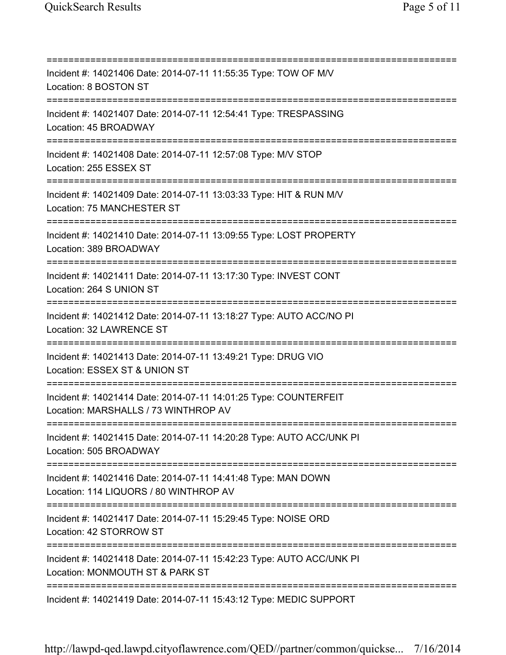=========================================================================== Incident #: 14021406 Date: 2014-07-11 11:55:35 Type: TOW OF M/V Location: 8 BOSTON ST =========================================================================== Incident #: 14021407 Date: 2014-07-11 12:54:41 Type: TRESPASSING Location: 45 BROADWAY =========================================================================== Incident #: 14021408 Date: 2014-07-11 12:57:08 Type: M/V STOP Location: 255 ESSEX ST =========================================================================== Incident #: 14021409 Date: 2014-07-11 13:03:33 Type: HIT & RUN M/V Location: 75 MANCHESTER ST =========================================================================== Incident #: 14021410 Date: 2014-07-11 13:09:55 Type: LOST PROPERTY Location: 389 BROADWAY =========================================================================== Incident #: 14021411 Date: 2014-07-11 13:17:30 Type: INVEST CONT Location: 264 S UNION ST =========================================================================== Incident #: 14021412 Date: 2014-07-11 13:18:27 Type: AUTO ACC/NO PI Location: 32 LAWRENCE ST =========================================================================== Incident #: 14021413 Date: 2014-07-11 13:49:21 Type: DRUG VIO Location: ESSEX ST & UNION ST =========================================================================== Incident #: 14021414 Date: 2014-07-11 14:01:25 Type: COUNTERFEIT Location: MARSHALLS / 73 WINTHROP AV =========================================================================== Incident #: 14021415 Date: 2014-07-11 14:20:28 Type: AUTO ACC/UNK PI Location: 505 BROADWAY =========================================================================== Incident #: 14021416 Date: 2014-07-11 14:41:48 Type: MAN DOWN Location: 114 LIQUORS / 80 WINTHROP AV =========================================================================== Incident #: 14021417 Date: 2014-07-11 15:29:45 Type: NOISE ORD Location: 42 STORROW ST =========================================================================== Incident #: 14021418 Date: 2014-07-11 15:42:23 Type: AUTO ACC/UNK PI Location: MONMOUTH ST & PARK ST =========================================================================== Incident #: 14021419 Date: 2014-07-11 15:43:12 Type: MEDIC SUPPORT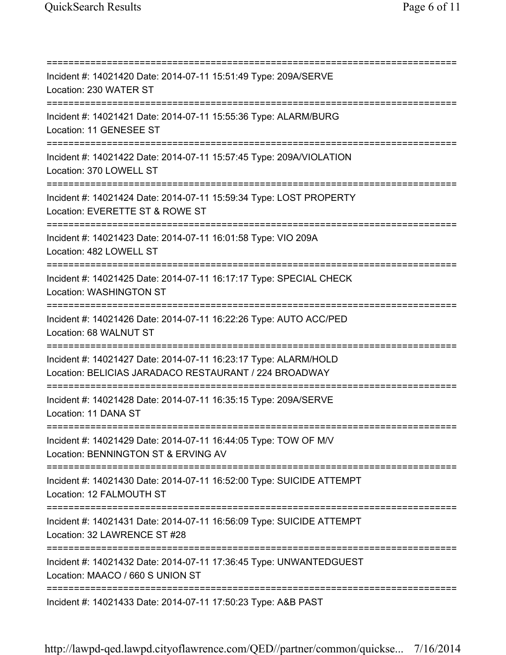=========================================================================== Incident #: 14021420 Date: 2014-07-11 15:51:49 Type: 209A/SERVE Location: 230 WATER ST =========================================================================== Incident #: 14021421 Date: 2014-07-11 15:55:36 Type: ALARM/BURG Location: 11 GENESEE ST =========================================================================== Incident #: 14021422 Date: 2014-07-11 15:57:45 Type: 209A/VIOLATION Location: 370 LOWELL ST =========================================================================== Incident #: 14021424 Date: 2014-07-11 15:59:34 Type: LOST PROPERTY Location: EVERETTE ST & ROWE ST =========================================================================== Incident #: 14021423 Date: 2014-07-11 16:01:58 Type: VIO 209A Location: 482 LOWELL ST =========================================================================== Incident #: 14021425 Date: 2014-07-11 16:17:17 Type: SPECIAL CHECK Location: WASHINGTON ST =========================================================================== Incident #: 14021426 Date: 2014-07-11 16:22:26 Type: AUTO ACC/PED Location: 68 WALNUT ST =========================================================================== Incident #: 14021427 Date: 2014-07-11 16:23:17 Type: ALARM/HOLD Location: BELICIAS JARADACO RESTAURANT / 224 BROADWAY =========================================================================== Incident #: 14021428 Date: 2014-07-11 16:35:15 Type: 209A/SERVE Location: 11 DANA ST =========================================================================== Incident #: 14021429 Date: 2014-07-11 16:44:05 Type: TOW OF M/V Location: BENNINGTON ST & ERVING AV =========================================================================== Incident #: 14021430 Date: 2014-07-11 16:52:00 Type: SUICIDE ATTEMPT Location: 12 FALMOUTH ST =========================================================================== Incident #: 14021431 Date: 2014-07-11 16:56:09 Type: SUICIDE ATTEMPT Location: 32 LAWRENCE ST #28 =========================================================================== Incident #: 14021432 Date: 2014-07-11 17:36:45 Type: UNWANTEDGUEST Location: MAACO / 660 S UNION ST =========================================================================== Incident #: 14021433 Date: 2014-07-11 17:50:23 Type: A&B PAST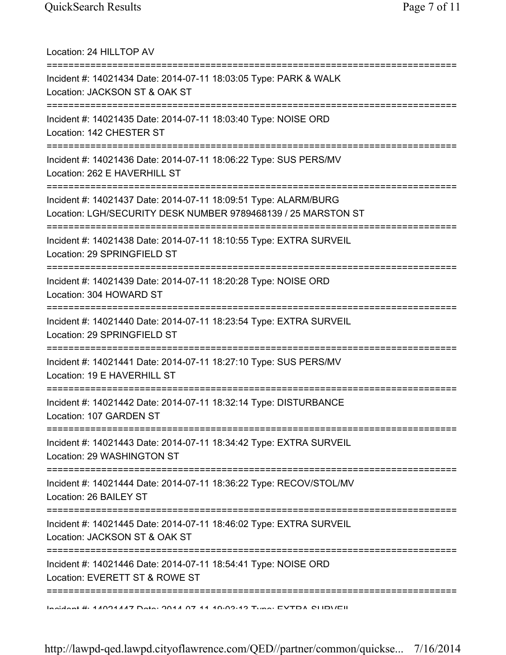Location: 24 HILLTOP AV =========================================================================== Incident #: 14021434 Date: 2014-07-11 18:03:05 Type: PARK & WALK Location: JACKSON ST & OAK ST =========================================================================== Incident #: 14021435 Date: 2014-07-11 18:03:40 Type: NOISE ORD Location: 142 CHESTER ST =========================================================================== Incident #: 14021436 Date: 2014-07-11 18:06:22 Type: SUS PERS/MV Location: 262 E HAVERHILL ST =========================================================================== Incident #: 14021437 Date: 2014-07-11 18:09:51 Type: ALARM/BURG Location: LGH/SECURITY DESK NUMBER 9789468139 / 25 MARSTON ST =========================================================================== Incident #: 14021438 Date: 2014-07-11 18:10:55 Type: EXTRA SURVEIL Location: 29 SPRINGFIELD ST =========================================================================== Incident #: 14021439 Date: 2014-07-11 18:20:28 Type: NOISE ORD Location: 304 HOWARD ST =========================================================================== Incident #: 14021440 Date: 2014-07-11 18:23:54 Type: EXTRA SURVEIL Location: 29 SPRINGFIELD ST =========================================================================== Incident #: 14021441 Date: 2014-07-11 18:27:10 Type: SUS PERS/MV Location: 19 E HAVERHILL ST =========================================================================== Incident #: 14021442 Date: 2014-07-11 18:32:14 Type: DISTURBANCE Location: 107 GARDEN ST =========================================================================== Incident #: 14021443 Date: 2014-07-11 18:34:42 Type: EXTRA SURVEIL Location: 29 WASHINGTON ST =========================================================================== Incident #: 14021444 Date: 2014-07-11 18:36:22 Type: RECOV/STOL/MV Location: 26 BAILEY ST =========================================================================== Incident #: 14021445 Date: 2014-07-11 18:46:02 Type: EXTRA SURVEIL Location: JACKSON ST & OAK ST =========================================================================== Incident #: 14021446 Date: 2014-07-11 18:54:41 Type: NOISE ORD Location: EVERETT ST & ROWE ST =========================================================================== Incident #: 14021447 Date: 2014 07 11 19:03:13 Type: EXTRA SURVEIL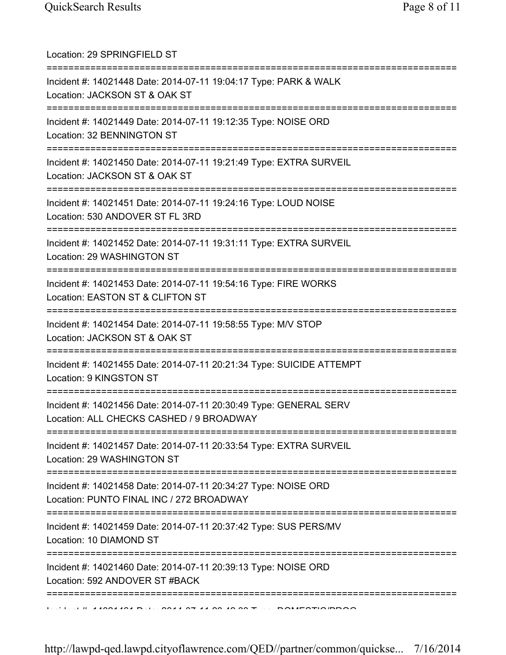| Location: 29 SPRINGFIELD ST                                                                                                                |
|--------------------------------------------------------------------------------------------------------------------------------------------|
| Incident #: 14021448 Date: 2014-07-11 19:04:17 Type: PARK & WALK<br>Location: JACKSON ST & OAK ST                                          |
| Incident #: 14021449 Date: 2014-07-11 19:12:35 Type: NOISE ORD<br>Location: 32 BENNINGTON ST<br>=====================================      |
| Incident #: 14021450 Date: 2014-07-11 19:21:49 Type: EXTRA SURVEIL<br>Location: JACKSON ST & OAK ST                                        |
| Incident #: 14021451 Date: 2014-07-11 19:24:16 Type: LOUD NOISE<br>Location: 530 ANDOVER ST FL 3RD                                         |
| ======================================<br>Incident #: 14021452 Date: 2014-07-11 19:31:11 Type: EXTRA SURVEIL<br>Location: 29 WASHINGTON ST |
| Incident #: 14021453 Date: 2014-07-11 19:54:16 Type: FIRE WORKS<br>Location: EASTON ST & CLIFTON ST                                        |
| Incident #: 14021454 Date: 2014-07-11 19:58:55 Type: M/V STOP<br>Location: JACKSON ST & OAK ST                                             |
| ======================================<br>Incident #: 14021455 Date: 2014-07-11 20:21:34 Type: SUICIDE ATTEMPT<br>Location: 9 KINGSTON ST  |
| Incident #: 14021456 Date: 2014-07-11 20:30:49 Type: GENERAL SERV<br>Location: ALL CHECKS CASHED / 9 BROADWAY                              |
| Incident #: 14021457 Date: 2014-07-11 20:33:54 Type: EXTRA SURVEIL<br>Location: 29 WASHINGTON ST                                           |
| Incident #: 14021458 Date: 2014-07-11 20:34:27 Type: NOISE ORD<br>Location: PUNTO FINAL INC / 272 BROADWAY                                 |
| Incident #: 14021459 Date: 2014-07-11 20:37:42 Type: SUS PERS/MV<br>Location: 10 DIAMOND ST                                                |
| Incident #: 14021460 Date: 2014-07-11 20:39:13 Type: NOISE ORD<br>Location: 592 ANDOVER ST #BACK                                           |
|                                                                                                                                            |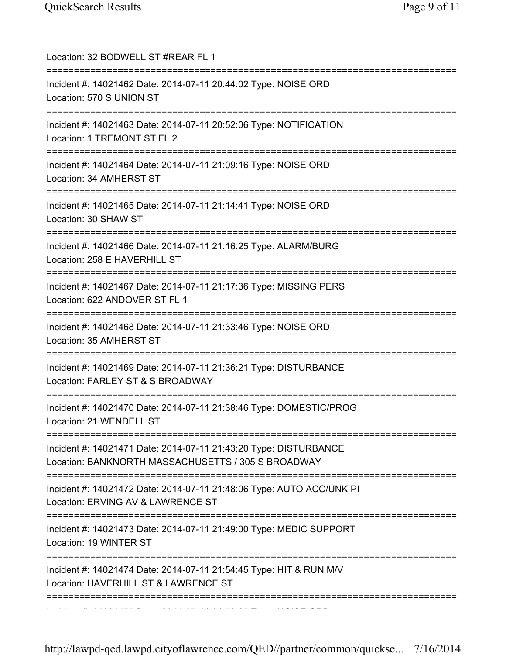| Location: 32 BODWELL ST #REAR FL 1<br>=========================                                                                    |
|------------------------------------------------------------------------------------------------------------------------------------|
| Incident #: 14021462 Date: 2014-07-11 20:44:02 Type: NOISE ORD<br>Location: 570 S UNION ST                                         |
| Incident #: 14021463 Date: 2014-07-11 20:52:06 Type: NOTIFICATION<br>Location: 1 TREMONT ST FL 2                                   |
| Incident #: 14021464 Date: 2014-07-11 21:09:16 Type: NOISE ORD<br>Location: 34 AMHERST ST                                          |
| Incident #: 14021465 Date: 2014-07-11 21:14:41 Type: NOISE ORD<br>Location: 30 SHAW ST<br>=====================================    |
| Incident #: 14021466 Date: 2014-07-11 21:16:25 Type: ALARM/BURG<br>Location: 258 E HAVERHILL ST                                    |
| Incident #: 14021467 Date: 2014-07-11 21:17:36 Type: MISSING PERS<br>Location: 622 ANDOVER ST FL 1                                 |
| Incident #: 14021468 Date: 2014-07-11 21:33:46 Type: NOISE ORD<br>Location: 35 AMHERST ST                                          |
| Incident #: 14021469 Date: 2014-07-11 21:36:21 Type: DISTURBANCE<br>Location: FARLEY ST & S BROADWAY                               |
| Incident #: 14021470 Date: 2014-07-11 21:38:46 Type: DOMESTIC/PROG<br>Location: 21 WENDELL ST                                      |
| Incident #: 14021471 Date: 2014-07-11 21:43:20 Type: DISTURBANCE<br>Location: BANKNORTH MASSACHUSETTS / 305 S BROADWAY             |
| =====================<br>Incident #: 14021472 Date: 2014-07-11 21:48:06 Type: AUTO ACC/UNK PI<br>Location: ERVING AV & LAWRENCE ST |
| Incident #: 14021473 Date: 2014-07-11 21:49:00 Type: MEDIC SUPPORT<br>Location: 19 WINTER ST                                       |
| Incident #: 14021474 Date: 2014-07-11 21:54:45 Type: HIT & RUN M/V<br>Location: HAVERHILL ST & LAWRENCE ST                         |
|                                                                                                                                    |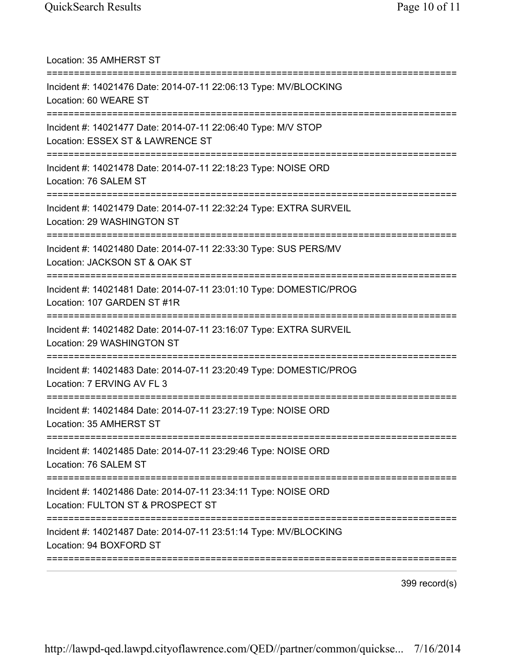| Location: 35 AMHERST ST                                                                                                                  |
|------------------------------------------------------------------------------------------------------------------------------------------|
| Incident #: 14021476 Date: 2014-07-11 22:06:13 Type: MV/BLOCKING<br>Location: 60 WEARE ST                                                |
| Incident #: 14021477 Date: 2014-07-11 22:06:40 Type: M/V STOP<br>Location: ESSEX ST & LAWRENCE ST                                        |
| Incident #: 14021478 Date: 2014-07-11 22:18:23 Type: NOISE ORD<br>Location: 76 SALEM ST                                                  |
| Incident #: 14021479 Date: 2014-07-11 22:32:24 Type: EXTRA SURVEIL<br>Location: 29 WASHINGTON ST                                         |
| Incident #: 14021480 Date: 2014-07-11 22:33:30 Type: SUS PERS/MV<br>Location: JACKSON ST & OAK ST                                        |
| Incident #: 14021481 Date: 2014-07-11 23:01:10 Type: DOMESTIC/PROG<br>Location: 107 GARDEN ST #1R<br>:================================== |
| Incident #: 14021482 Date: 2014-07-11 23:16:07 Type: EXTRA SURVEIL<br>Location: 29 WASHINGTON ST                                         |
| Incident #: 14021483 Date: 2014-07-11 23:20:49 Type: DOMESTIC/PROG<br>Location: 7 ERVING AV FL 3                                         |
| Incident #: 14021484 Date: 2014-07-11 23:27:19 Type: NOISE ORD<br>Location: 35 AMHERST ST                                                |
| Incident #: 14021485 Date: 2014-07-11 23:29:46 Type: NOISE ORD<br>Location: 76 SALEM ST                                                  |
| Incident #: 14021486 Date: 2014-07-11 23:34:11 Type: NOISE ORD<br>Location: FULTON ST & PROSPECT ST                                      |
| Incident #: 14021487 Date: 2014-07-11 23:51:14 Type: MV/BLOCKING<br>Location: 94 BOXFORD ST                                              |
|                                                                                                                                          |

399 record(s)